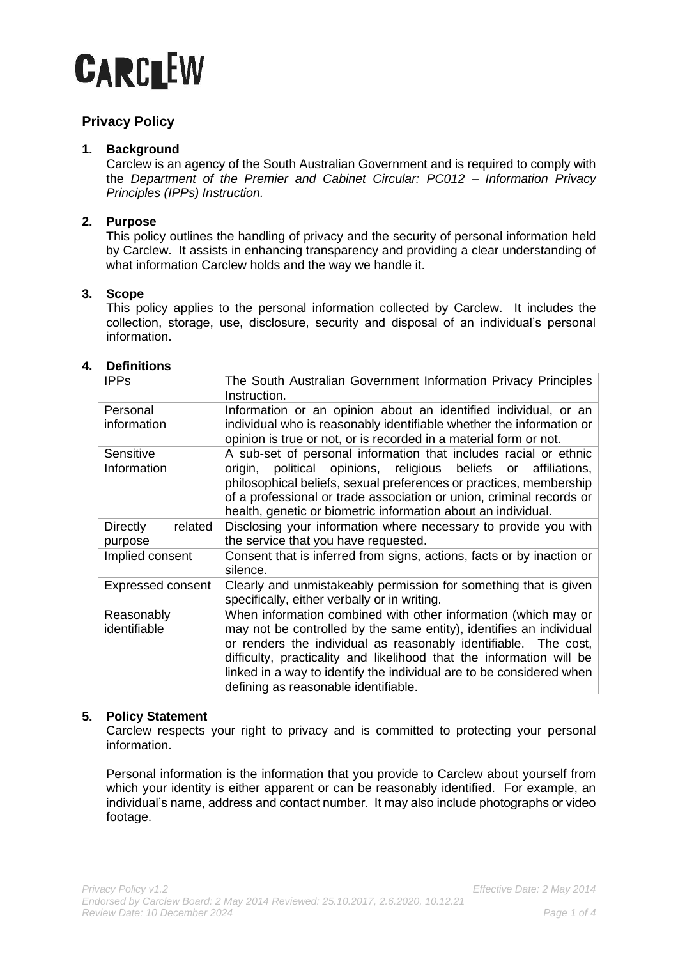# **CARCLEW**

# **Privacy Policy**

# **1. Background**

Carclew is an agency of the South Australian Government and is required to comply with the *Department of the Premier and Cabinet Circular: PC012 – Information Privacy Principles (IPPs) Instruction.*

# **2. Purpose**

This policy outlines the handling of privacy and the security of personal information held by Carclew. It assists in enhancing transparency and providing a clear understanding of what information Carclew holds and the way we handle it.

# **3. Scope**

This policy applies to the personal information collected by Carclew. It includes the collection, storage, use, disclosure, security and disposal of an individual's personal information.

# **4. Definitions**

| <b>IPPS</b>                           | The South Australian Government Information Privacy Principles<br>Instruction.                                                                                                                                                                                                                                                                                                                   |
|---------------------------------------|--------------------------------------------------------------------------------------------------------------------------------------------------------------------------------------------------------------------------------------------------------------------------------------------------------------------------------------------------------------------------------------------------|
| Personal<br>information               | Information or an opinion about an identified individual, or an<br>individual who is reasonably identifiable whether the information or<br>opinion is true or not, or is recorded in a material form or not.                                                                                                                                                                                     |
| Sensitive<br>Information              | A sub-set of personal information that includes racial or ethnic<br>political opinions, religious beliefs or<br>origin,<br>affiliations,<br>philosophical beliefs, sexual preferences or practices, membership<br>of a professional or trade association or union, criminal records or<br>health, genetic or biometric information about an individual.                                          |
| <b>Directly</b><br>related<br>purpose | Disclosing your information where necessary to provide you with<br>the service that you have requested.                                                                                                                                                                                                                                                                                          |
| Implied consent                       | Consent that is inferred from signs, actions, facts or by inaction or<br>silence.                                                                                                                                                                                                                                                                                                                |
| <b>Expressed consent</b>              | Clearly and unmistakeably permission for something that is given<br>specifically, either verbally or in writing.                                                                                                                                                                                                                                                                                 |
| Reasonably<br>identifiable            | When information combined with other information (which may or<br>may not be controlled by the same entity), identifies an individual<br>or renders the individual as reasonably identifiable. The cost,<br>difficulty, practicality and likelihood that the information will be<br>linked in a way to identify the individual are to be considered when<br>defining as reasonable identifiable. |

## **5. Policy Statement**

Carclew respects your right to privacy and is committed to protecting your personal information.

Personal information is the information that you provide to Carclew about yourself from which your identity is either apparent or can be reasonably identified. For example, an individual's name, address and contact number. It may also include photographs or video footage.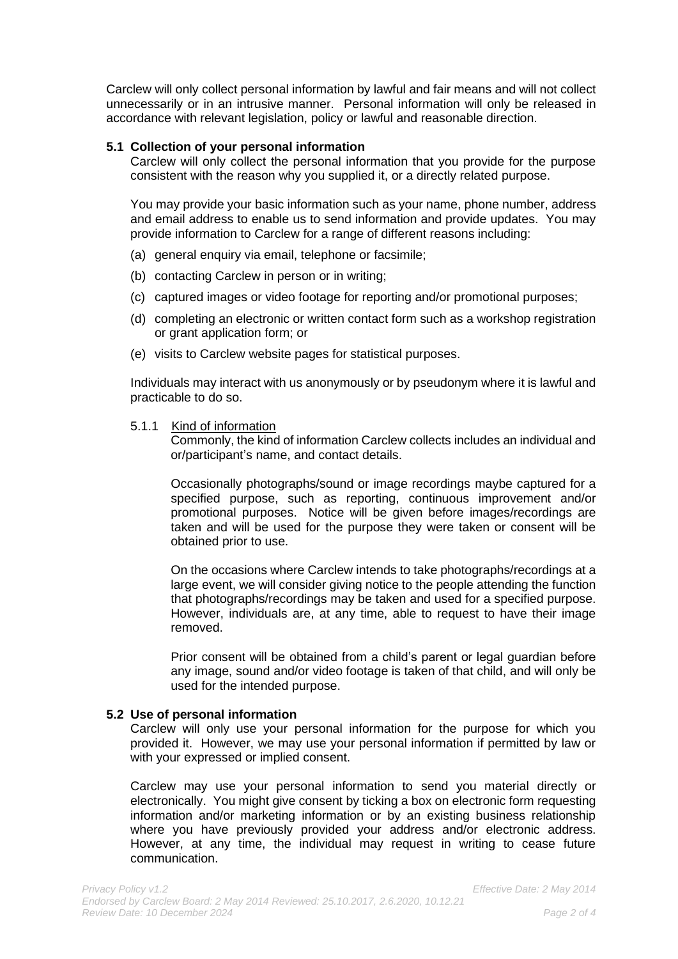Carclew will only collect personal information by lawful and fair means and will not collect unnecessarily or in an intrusive manner. Personal information will only be released in accordance with relevant legislation, policy or lawful and reasonable direction.

#### **5.1 Collection of your personal information**

Carclew will only collect the personal information that you provide for the purpose consistent with the reason why you supplied it, or a directly related purpose.

You may provide your basic information such as your name, phone number, address and email address to enable us to send information and provide updates. You may provide information to Carclew for a range of different reasons including:

- (a) general enquiry via email, telephone or facsimile;
- (b) contacting Carclew in person or in writing;
- (c) captured images or video footage for reporting and/or promotional purposes;
- (d) completing an electronic or written contact form such as a workshop registration or grant application form; or
- (e) visits to Carclew website pages for statistical purposes.

Individuals may interact with us anonymously or by pseudonym where it is lawful and practicable to do so.

#### 5.1.1 Kind of information

Commonly, the kind of information Carclew collects includes an individual and or/participant's name, and contact details.

Occasionally photographs/sound or image recordings maybe captured for a specified purpose, such as reporting, continuous improvement and/or promotional purposes. Notice will be given before images/recordings are taken and will be used for the purpose they were taken or consent will be obtained prior to use.

On the occasions where Carclew intends to take photographs/recordings at a large event, we will consider giving notice to the people attending the function that photographs/recordings may be taken and used for a specified purpose. However, individuals are, at any time, able to request to have their image removed.

Prior consent will be obtained from a child's parent or legal guardian before any image, sound and/or video footage is taken of that child, and will only be used for the intended purpose.

#### **5.2 Use of personal information**

Carclew will only use your personal information for the purpose for which you provided it. However, we may use your personal information if permitted by law or with your expressed or implied consent.

Carclew may use your personal information to send you material directly or electronically. You might give consent by ticking a box on electronic form requesting information and/or marketing information or by an existing business relationship where you have previously provided your address and/or electronic address. However, at any time, the individual may request in writing to cease future communication.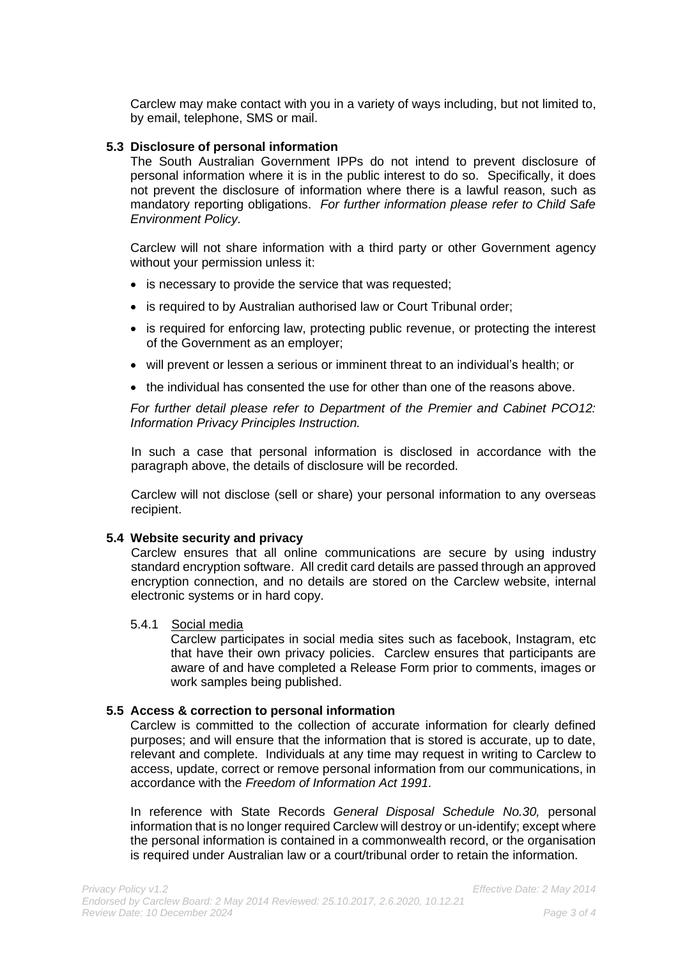Carclew may make contact with you in a variety of ways including, but not limited to, by email, telephone, SMS or mail.

#### **5.3 Disclosure of personal information**

The South Australian Government IPPs do not intend to prevent disclosure of personal information where it is in the public interest to do so. Specifically, it does not prevent the disclosure of information where there is a lawful reason, such as mandatory reporting obligations. *For further information please refer to Child Safe Environment Policy.*

Carclew will not share information with a third party or other Government agency without your permission unless it:

- is necessary to provide the service that was requested;
- is required to by Australian authorised law or Court Tribunal order;
- is required for enforcing law, protecting public revenue, or protecting the interest of the Government as an employer;
- will prevent or lessen a serious or imminent threat to an individual's health; or
- the individual has consented the use for other than one of the reasons above.

*For further detail please refer to Department of the Premier and Cabinet PCO12: Information Privacy Principles Instruction.*

In such a case that personal information is disclosed in accordance with the paragraph above, the details of disclosure will be recorded.

Carclew will not disclose (sell or share) your personal information to any overseas recipient.

## **5.4 Website security and privacy**

Carclew ensures that all online communications are secure by using industry standard encryption software. All credit card details are passed through an approved encryption connection, and no details are stored on the Carclew website, internal electronic systems or in hard copy.

#### 5.4.1 Social media

Carclew participates in social media sites such as facebook, Instagram, etc that have their own privacy policies. Carclew ensures that participants are aware of and have completed a Release Form prior to comments, images or work samples being published.

#### **5.5 Access & correction to personal information**

Carclew is committed to the collection of accurate information for clearly defined purposes; and will ensure that the information that is stored is accurate, up to date, relevant and complete. Individuals at any time may request in writing to Carclew to access, update, correct or remove personal information from our communications, in accordance with the *Freedom of Information Act 1991.*

In reference with State Records *General Disposal Schedule No.30,* personal information that is no longer required Carclew will destroy or un-identify; except where the personal information is contained in a commonwealth record, or the organisation is required under Australian law or a court/tribunal order to retain the information.